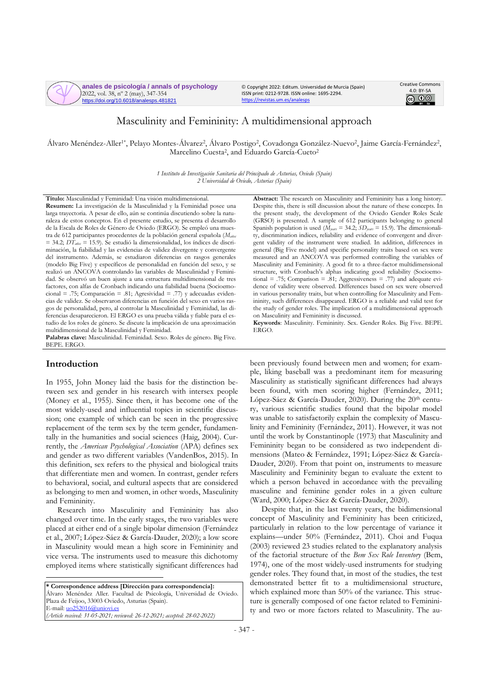

© Copyright 2022: Editum. Universidad de Murcia (Spain) ISSN print: 0212-9728. ISSN online: 1695-2294. <https://revistas.um.es/analesps>



# Masculinity and Femininity: A multidimensional approach

Álvaro Menéndez-Aller<sup>1\*</sup>, Pelayo Montes-Álvarez<sup>2</sup>, Álvaro Postigo<sup>2</sup>, Covadonga González-Nuevo<sup>2</sup>, Jaime García-Fernández<sup>2</sup>, Marcelino Cuesta<sup>2</sup>, and Eduardo García-Cueto<sup>2</sup>

> *1 Instituto de Investigación Sanitaria del Principado de Asturias, Oviedo (Spain) 2 Universidad de Oviedo, Asturias (Spain)*

**Título:** Masculinidad y Feminidad: Una visión multidimensional. **Resumen:** La investigación de la Masculinidad y la Feminidad posee una larga trayectoria. A pesar de ello, aún se continúa discutiendo sobre la naturaleza de estos conceptos. En el presente estudio, se presenta el desarrollo de la Escala de Roles de Género de Oviedo (ERGO). Se empleó una muestra de 612 participantes procedentes de la población general española (*Maños* = 34.2; *DTaños* = 15.9). Se estudió la dimensionalidad, los índices de discriminación, la fiabilidad y las evidencias de validez divergente y convergente del instrumento. Además, se estudiaron diferencias en rasgos generales (modelo Big Five) y específicos de personalidad en función del sexo, y se realizó un ANCOVA controlando las variables de Masculinidad y Feminidad. Se observó un buen ajuste a una estructura multidimensional de tres factores, con alfas de Cronbach indicando una fiabilidad buena (Socioemocional = .75; Comparación = .81; Agresividad = .77) y adecuadas evidencias de validez. Se observaron diferencias en función del sexo en varios rasgos de personalidad, pero, al controlar la Masculinidad y Feminidad, las diferencias desaparecieron. El ERGO es una prueba válida y fiable para el estudio de los roles de género. Se discute la implicación de una aproximación multidimensional de la Masculinidad y Feminidad.

**Palabras clave:** Masculinidad. Feminidad. Sexo. Roles de género. Big Five. BEPE. ERGO.

## **Introduction**

In 1955, John Money laid the basis for the distinction between sex and gender in his research with intersex people (Money et al., 1955). Since then, it has become one of the most widely-used and influential topics in scientific discussion; one example of which can be seen in the progressive replacement of the term sex by the term gender, fundamentally in the humanities and social sciences (Haig, 2004). Currently, the *American Psychological Association* (APA) defines sex and gender as two different variables (VandenBos, 2015). In this definition, sex refers to the physical and biological traits that differentiate men and women. In contrast, gender refers to behavioral, social, and cultural aspects that are considered as belonging to men and women, in other words, Masculinity and Femininity.

Research into Masculinity and Femininity has also changed over time. In the early stages, the two variables were placed at either end of a single bipolar dimension (Fernández et al., 2007; López-Sáez & García-Dauder, 2020); a low score in Masculinity would mean a high score in Femininity and vice versa. The instruments used to measure this dichotomy employed items where statistically significant differences had

**\* Correspondence address [Dirección para correspondencia]:** Álvaro Menéndez Aller. Facultad de Psicología, Universidad de Oviedo. Plaza de Feijoo, 33003 Oviedo, Asturias (Spain). E-mail[: uo252016@uniovi.es](mailto:uo252016@uniovi.es) *(Article received: 31-05-2021; reviewed: 26-12-2021; accepted: 28-02-2022)*

**Abstract:** The research on Masculinity and Femininity has a long history. Despite this, there is still discussion about the nature of these concepts. In the present study, the development of the Oviedo Gender Roles Scale (GRSO) is presented. A sample of 612 participants belonging to general Spanish population is used ( $\hat{M}_{\text{years}} = 34.2$ ;  $SD_{\text{years}} = 15.9$ ). The dimensionality, discrimination indices, reliability and evidence of convergent and divergent validity of the instrument were studied. In addition, differences in general (Big Five model) and specific personality traits based on sex were measured and an ANCOVA was performed controlling the variables of Masculinity and Femininity. A good fit to a three-factor multidimensional structure, with Cronbach's alphas indicating good reliability (Socioemotional = .75; Comparison = .81; Aggressiveness = .77) and adequate evidence of validity were observed. Differences based on sex were observed in various personality traits, but when controlling for Masculinity and Femininity, such differences disappeared. ERGO is a reliable and valid test for the study of gender roles. The implication of a multidimensional approach on Masculinity and Femininity is discussed.

**Keywords**: Masculinity. Femininity. Sex. Gender Roles. Big Five. BEPE. ERGO.

been previously found between men and women; for example, liking baseball was a predominant item for measuring Masculinity as statistically significant differences had always been found, with men scoring higher (Fernández, 2011; López-Sáez & García-Dauder, 2020). During the 20<sup>th</sup> century, various scientific studies found that the bipolar model was unable to satisfactorily explain the complexity of Masculinity and Femininity (Fernández, 2011). However, it was not until the work by Constantinople (1973) that Masculinity and Femininity began to be considered as two independent dimensions (Mateo & Fernández, 1991; López-Sáez & García-Dauder, 2020). From that point on, instruments to measure Masculinity and Femininity began to evaluate the extent to which a person behaved in accordance with the prevailing masculine and feminine gender roles in a given culture (Ward, 2000; López-Sáez & García-Dauder, 2020).

Despite that, in the last twenty years, the bidimensional concept of Masculinity and Femininity has been criticized, particularly in relation to the low percentage of variance it explains—under 50% (Fernández, 2011). Choi and Fuqua (2003) reviewed 23 studies related to the explanatory analysis of the factorial structure of the *Bem Sex Role Inventory* (Bem, 1974), one of the most widely-used instruments for studying gender roles. They found that, in most of the studies, the test demonstrated better fit to a multidimensional structure, which explained more than 50% of the variance. This structure is generally composed of one factor related to Femininity and two or more factors related to Masculinity. The au-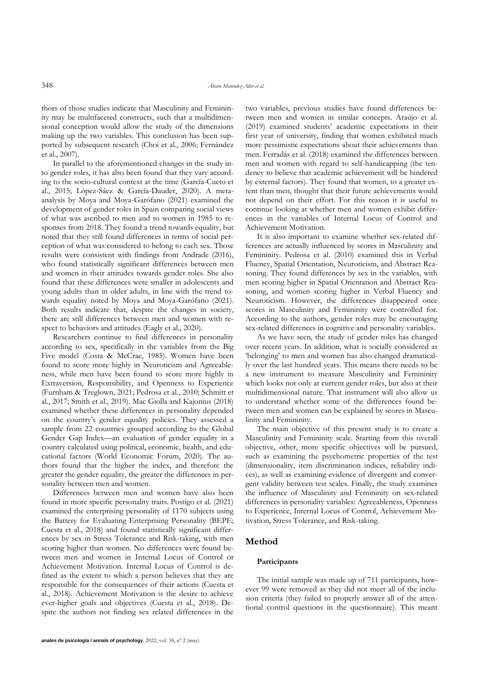thors of those studies indicate that Masculinity and Femininity may be multifaceted constructs, such that a multidimensional conception would allow the study of the dimensions making up the two variables. This conclusion has been supported by subsequent research (Choi et al., 2006; Fernández et al., 2007).

In parallel to the aforementioned changes in the study into gender roles, it has also been found that they vary according to the socio-cultural context at the time (García-Cueto et al., 2015; López-Sáez & García-Dauder, 2020). A metaanalysis by Moya and Moya-Garófano (2021) examined the development of gender roles in Spain comparing social views of what was ascribed to men and to women in 1985 to responses from 2018. They found a trend towards equality, but noted that they still found differences in terms of social perception of what was considered to belong to each sex. Those results were consistent with findings from Andrade (2016), who found statistically significant differences between men and women in their attitudes towards gender roles. She also found that these differences were smaller in adolescents and young adults than in older adults, in line with the trend towards equality noted by Moya and Moya-Garófano (2021). Both results indicate that, despite the changes in society, there are still differences between men and women with respect to behaviors and attitudes (Eagly et al., 2020).

Researchers continue to find differences in personality according to sex, specifically in the variables from the Big Five model (Costa & McCrae, 1985). Women have been found to score more highly in Neuroticism and Agreeableness, while men have been found to score more highly in Extraversion, Responsibility, and Openness to Experience (Furnham & Treglown, 2021; Pedrosa et al., 2010; Schmitt et al., 2017; Smith et al., 2019). Mac Giolla and Kajonius (2018) examined whether these differences in personality depended on the country's gender equality policies. They assessed a sample from 22 countries grouped according to the Global Gender Gap Index—an evaluation of gender equality in a country calculated using political, economic, health, and educational factors (World Economic Forum, 2020). The authors found that the higher the index, and therefore the greater the gender equality, the greater the differences in personality between men and women.

Differences between men and women have also been found in more specific personality traits. Postigo et al. (2021) examined the enterprising personality of 1170 subjects using the Battery for Evaluating Enterprising Personality (BEPE; Cuesta et al., 2018) and found statistically significant differences by sex in Stress Tolerance and Risk-taking, with men scoring higher than women. No differences were found between men and women in Internal Locus of Control or Achievement Motivation. Internal Locus of Control is defined as the extent to which a person believes that they are responsible for the consequences of their actions (Cuesta et al., 2018). Achievement Motivation is the desire to achieve ever-higher goals and objectives (Cuesta et al., 2018). Despite the authors not finding sex related differences in the two variables, previous studies have found differences between men and women in similar concepts. Araújo et al. (2019) examined students' academic expectations in their first year of university, finding that women exhibited much more pessimistic expectations about their achievements than men. Ferradás et al. (2018) examined the differences between men and women with regard to self-handicapping (the tendency to believe that academic achievement will be hindered by external factors). They found that women, to a greater extent than men, thought that their future achievements would not depend on their effort. For this reason it is useful to continue looking at whether men and women exhibit differences in the variables of Internal Locus of Control and Achievement Motivation.

It is also important to examine whether sex-related differences are actually influenced by scores in Masculinity and Femininity. Pedrosa et al. (2010) examined this in Verbal Fluency, Spatial Orientation, Neuroticism, and Abstract Reasoning. They found differences by sex in the variables, with men scoring higher in Spatial Orientation and Abstract Reasoning, and women scoring higher in Verbal Fluency and Neuroticism. However, the differences disappeared once scores in Masculinity and Femininity were controlled for. According to the authors, gender roles may be encouraging sex-related differences in cognitive and personality variables.

As we have seen, the study of gender roles has changed over recent years. In addition, what is socially considered as 'belonging' to men and women has also changed dramatically over the last hundred years. This means there needs to be a new instrument to measure Masculinity and Femininity which looks not only at current gender roles, but also at their multidimensional nature. That instrument will also allow us to understand whether some of the differences found between men and women can be explained by scores in Masculinity and Femininity.

The main objective of this present study is to create a Masculinity and Femininity scale. Starting from this overall objective, other, more specific objectives will be pursued, such as examining the psychometric properties of the test (dimensionality, item discrimination indices, reliability indices), as well as examining evidence of divergent and convergent validity between test scales. Finally, the study examines the influence of Masculinity and Femininity on sex-related differences in personality variables: Agreeableness, Openness to Experience, Internal Locus of Control, Achievement Motivation, Stress Tolerance, and Risk-taking.

# **Method**

## **Participants**

The initial sample was made up of 711 participants, however 99 were removed as they did not meet all of the inclusion criteria (they failed to properly answer all of the attentional control questions in the questionnaire). This meant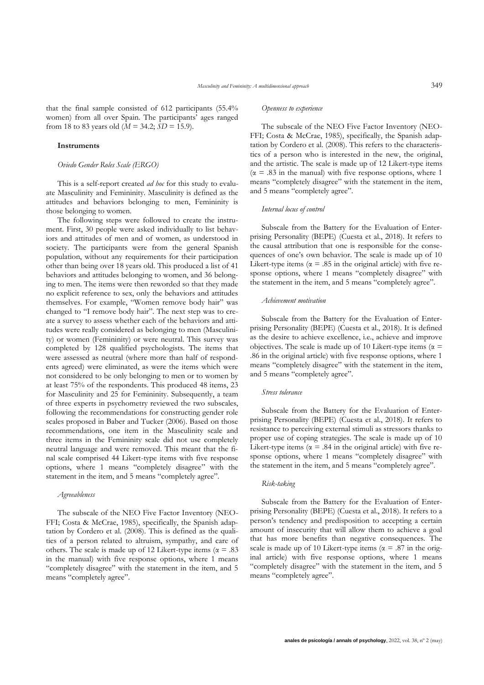that the final sample consisted of 612 participants (55.4% women) from all over Spain. The participants' ages ranged from 18 to 83 years old ( $M = 34.2$ ;  $SD = 15.9$ ).

## **Instruments**

## *Oviedo Gender Roles Scale (ERGO)*

This is a self-report created *ad hoc* for this study to evaluate Masculinity and Femininity. Masculinity is defined as the attitudes and behaviors belonging to men, Femininity is those belonging to women.

The following steps were followed to create the instrument. First, 30 people were asked individually to list behaviors and attitudes of men and of women, as understood in society. The participants were from the general Spanish population, without any requirements for their participation other than being over 18 years old. This produced a list of 41 behaviors and attitudes belonging to women, and 36 belonging to men. The items were then reworded so that they made no explicit reference to sex, only the behaviors and attitudes themselves. For example, "Women remove body hair" was changed to "I remove body hair". The next step was to create a survey to assess whether each of the behaviors and attitudes were really considered as belonging to men (Masculinity) or women (Femininity) or were neutral. This survey was completed by 128 qualified psychologists. The items that were assessed as neutral (where more than half of respondents agreed) were eliminated, as were the items which were not considered to be only belonging to men or to women by at least 75% of the respondents. This produced 48 items, 23 for Masculinity and 25 for Femininity. Subsequently, a team of three experts in psychometry reviewed the two subscales, following the recommendations for constructing gender role scales proposed in Baber and Tucker (2006). Based on those recommendations, one item in the Masculinity scale and three items in the Femininity scale did not use completely neutral language and were removed. This meant that the final scale comprised 44 Likert-type items with five response options, where 1 means "completely disagree" with the statement in the item, and 5 means "completely agree".

## *Agreeableness*

The subscale of the NEO Five Factor Inventory (NEO-FFI; Costa & McCrae, 1985), specifically, the Spanish adaptation by Cordero et al. (2008). This is defined as the qualities of a person related to altruism, sympathy, and care of others. The scale is made up of 12 Likert-type items ( $\alpha = .83$ ) in the manual) with five response options, where 1 means "completely disagree" with the statement in the item, and 5 means "completely agree".

#### *Openness to experience*

The subscale of the NEO Five Factor Inventory (NEO-FFI; Costa & McCrae, 1985), specifically, the Spanish adaptation by Cordero et al. (2008). This refers to the characteristics of a person who is interested in the new, the original, and the artistic. The scale is made up of 12 Likert-type items  $(\alpha = .83$  in the manual) with five response options, where 1 means "completely disagree" with the statement in the item, and 5 means "completely agree".

## *Internal locus of control*

Subscale from the Battery for the Evaluation of Enterprising Personality (BEPE) (Cuesta et al., 2018). It refers to the causal attribution that one is responsible for the consequences of one's own behavior. The scale is made up of 10 Likert-type items ( $\alpha = .85$  in the original article) with five response options, where 1 means "completely disagree" with the statement in the item, and 5 means "completely agree".

### *Achievement motivation*

Subscale from the Battery for the Evaluation of Enterprising Personality (BEPE) (Cuesta et al., 2018). It is defined as the desire to achieve excellence, i.e., achieve and improve objectives. The scale is made up of 10 Likert-type items ( $\alpha$  = .86 in the original article) with five response options, where 1 means "completely disagree" with the statement in the item, and 5 means "completely agree".

#### *Stress tolerance*

Subscale from the Battery for the Evaluation of Enterprising Personality (BEPE) (Cuesta et al., 2018). It refers to resistance to perceiving external stimuli as stressors thanks to proper use of coping strategies. The scale is made up of 10 Likert-type items ( $\alpha$  = .84 in the original article) with five response options, where 1 means "completely disagree" with the statement in the item, and 5 means "completely agree".

## *Risk-taking*

Subscale from the Battery for the Evaluation of Enterprising Personality (BEPE) (Cuesta et al., 2018). It refers to a person's tendency and predisposition to accepting a certain amount of insecurity that will allow them to achieve a goal that has more benefits than negative consequences. The scale is made up of 10 Likert-type items ( $\alpha$  = .87 in the original article) with five response options, where 1 means "completely disagree" with the statement in the item, and 5 means "completely agree".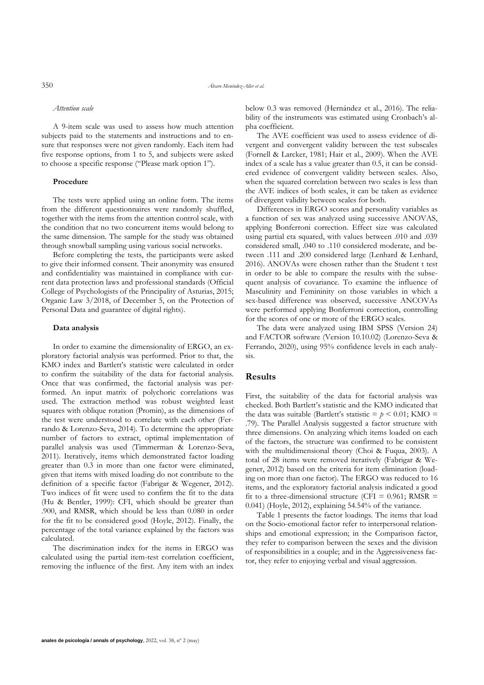#### *Attention scale*

A 9-item scale was used to assess how much attention subjects paid to the statements and instructions and to ensure that responses were not given randomly. Each item had five response options, from 1 to 5, and subjects were asked to choose a specific response ("Please mark option 1").

## **Procedure**

The tests were applied using an online form. The items from the different questionnaires were randomly shuffled, together with the items from the attention control scale, with the condition that no two concurrent items would belong to the same dimension. The sample for the study was obtained through snowball sampling using various social networks.

Before completing the tests, the participants were asked to give their informed consent. Their anonymity was ensured and confidentiality was maintained in compliance with current data protection laws and professional standards (Official College of Psychologists of the Principality of Asturias, 2015; Organic Law 3/2018, of December 5, on the Protection of Personal Data and guarantee of digital rights).

### **Data analysis**

In order to examine the dimensionality of ERGO, an exploratory factorial analysis was performed. Prior to that, the KMO index and Bartlett's statistic were calculated in order to confirm the suitability of the data for factorial analysis. Once that was confirmed, the factorial analysis was performed. An input matrix of polychoric correlations was used. The extraction method was robust weighted least squares with oblique rotation (Promin), as the dimensions of the test were understood to correlate with each other (Ferrando & Lorenzo-Seva, 2014). To determine the appropriate number of factors to extract, optimal implementation of parallel analysis was used (Timmerman & Lorenzo-Seva, 2011). Iteratively, items which demonstrated factor loading greater than 0.3 in more than one factor were eliminated, given that items with mixed loading do not contribute to the definition of a specific factor (Fabrigar & Wegener, 2012). Two indices of fit were used to confirm the fit to the data (Hu & Bentler, 1999): CFI, which should be greater than .900, and RMSR, which should be less than 0.080 in order for the fit to be considered good (Hoyle, 2012). Finally, the percentage of the total variance explained by the factors was calculated.

The discrimination index for the items in ERGO was calculated using the partial item-test correlation coefficient, removing the influence of the first. Any item with an index

below 0.3 was removed (Hernández et al., 2016). The reliability of the instruments was estimated using Cronbach's alpha coefficient.

The AVE coefficient was used to assess evidence of divergent and convergent validity between the test subscales (Fornell & Larcker, 1981; Hair et al., 2009). When the AVE index of a scale has a value greater than 0.5, it can be considered evidence of convergent validity between scales. Also, when the squared correlation between two scales is less than the AVE indices of both scales, it can be taken as evidence of divergent validity between scales for both.

Differences in ERGO scores and personality variables as a function of sex was analyzed using successive ANOVAS, applying Bonferroni correction. Effect size was calculated using partial eta squared, with values between .010 and .039 considered small, .040 to .110 considered moderate, and between .111 and .200 considered large (Lenhard & Lenhard, 2016). ANOVAs were chosen rather than the Student t test in order to be able to compare the results with the subsequent analysis of covariance. To examine the influence of Masculinity and Femininity on those variables in which a sex-based difference was observed, successive ANCOVAs were performed applying Bonferroni correction, controlling for the scores of one or more of the ERGO scales.

The data were analyzed using IBM SPSS (Version 24) and FACTOR software (Version 10.10.02) (Lorenzo-Seva & Ferrando, 2020), using 95% confidence levels in each analysis.

## **Results**

First, the suitability of the data for factorial analysis was checked. Both Bartlett's statistic and the KMO indicated that the data was suitable (Bartlett's statistic  $= p < 0.01$ ; KMO  $=$ .79). The Parallel Analysis suggested a factor structure with three dimensions. On analyzing which items loaded on each of the factors, the structure was confirmed to be consistent with the multidimensional theory (Choi & Fuqua, 2003). A total of 28 items were removed iteratively (Fabrigar & Wegener, 2012) based on the criteria for item elimination (loading on more than one factor). The ERGO was reduced to 16 items, and the exploratory factorial analysis indicated a good fit to a three-dimensional structure (CFI =  $0.961$ ; RMSR = 0.041) (Hoyle, 2012), explaining 54.54% of the variance.

Table 1 presents the factor loadings. The items that load on the Socio-emotional factor refer to interpersonal relationships and emotional expression; in the Comparison factor, they refer to comparison between the sexes and the division of responsibilities in a couple; and in the Aggressiveness factor, they refer to enjoying verbal and visual aggression.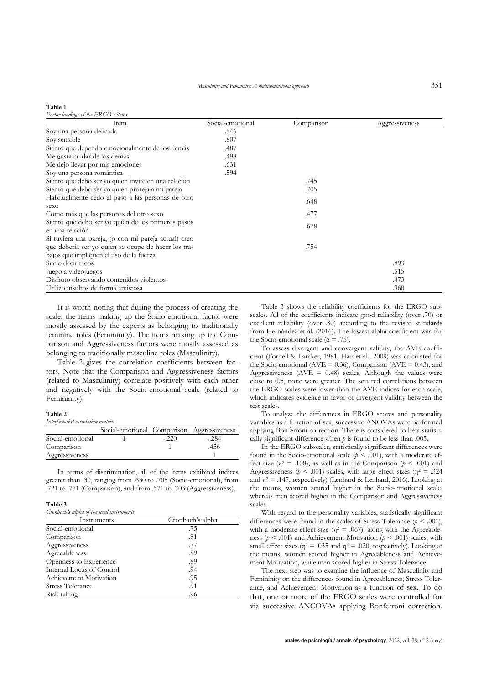#### **Table 1**

*Factor loadings of the ERGO's items*

| Item                                                 | Social-emotional | Comparison | Aggressiveness |
|------------------------------------------------------|------------------|------------|----------------|
| Soy una persona delicada                             | .546             |            |                |
| Soy sensible                                         | .807             |            |                |
| Siento que dependo emocionalmente de los demás       | .487             |            |                |
| Me gusta cuidar de los demás                         | .498             |            |                |
| Me dejo llevar por mis emociones                     | .631             |            |                |
| Soy una persona romántica                            | .594             |            |                |
| Siento que debo ser yo quien invite en una relación  |                  | .745       |                |
| Siento que debo ser yo quien proteja a mi pareja     |                  | .705       |                |
| Habitualmente cedo el paso a las personas de otro    |                  | .648       |                |
| sexo                                                 |                  |            |                |
| Como más que las personas del otro sexo              |                  | .477       |                |
| Siento que debo ser yo quien de los primeros pasos   |                  | .678       |                |
| en una relación                                      |                  |            |                |
| Si tuviera una pareja, (o con mi pareja actual) creo |                  |            |                |
| que debería ser yo quien se ocupe de hacer los tra-  |                  | .754       |                |
| bajos que impliquen el uso de la fuerza              |                  |            |                |
| Suelo decir tacos                                    |                  |            | .893           |
| Juego a videojuegos                                  |                  |            | .515           |
| Disfruto observando contenidos violentos             |                  |            | .473           |
| Utilizo insultos de forma amistosa                   |                  |            | .960           |

It is worth noting that during the process of creating the scale, the items making up the Socio-emotional factor were mostly assessed by the experts as belonging to traditionally feminine roles (Femininity). The items making up the Comparison and Aggressiveness factors were mostly assessed as belonging to traditionally masculine roles (Masculinity).

Table 2 gives the correlation coefficients between factors. Note that the Comparison and Aggressiveness factors (related to Masculinity) correlate positively with each other and negatively with the Socio-emotional scale (related to Femininity).

#### **Table 2**

*Interfactorial correlation matrix*

|                  | Social-emotional Comparison Aggressiveness |         |       |
|------------------|--------------------------------------------|---------|-------|
| Social-emotional |                                            | $-.220$ | -.284 |
| Comparison       |                                            |         | .456  |
| Aggressiveness   |                                            |         |       |

In terms of discrimination, all of the items exhibited indices greater than .30, ranging from .630 to .705 (Socio-emotional), from .721 to .771 (Comparison), and from .571 to .703 (Aggressiveness).

## **Table 3**

| Cronbach's alpha of the used instruments |                  |  |
|------------------------------------------|------------------|--|
| Instruments                              | Cronbach's alpha |  |
| Social-emotional                         | .75              |  |
| Comparison                               | .81              |  |
| Aggressiveness                           | .77              |  |
| Agreeableness                            | .89              |  |
| Openness to Experience                   | .89              |  |
| Internal Locus of Control                | .94              |  |
| Achievement Motivation                   | .95              |  |
| <b>Stress Tolerance</b>                  | .91              |  |
| Risk-taking                              | .96              |  |

Table 3 shows the reliability coefficients for the ERGO subscales. All of the coefficients indicate good reliability (over .70) or excellent reliability (over .80) according to the revised standards from Hernández et al. (2016). The lowest alpha coefficient was for the Socio-emotional scale ( $\alpha$  = .75).

To assess divergent and convergent validity, the AVE coefficient (Fornell & Larcker, 1981; Hair et al., 2009) was calculated for the Socio-emotional (AVE = 0.36), Comparison (AVE = 0.43), and Aggressiveness ( $AVE = 0.48$ ) scales. Although the values were close to 0.5, none were greater. The squared correlations between the ERGO scales were lower than the AVE indices for each scale, which indicates evidence in favor of divergent validity between the test scales.

To analyze the differences in ERGO scores and personality variables as a function of sex, successive ANOVAs were performed applying Bonferroni correction. There is considered to be a statistically significant difference when *p* is found to be less than .005.

In the ERGO subscales, statistically significant differences were found in the Socio-emotional scale ( $p < .001$ ), with a moderate effect size ( $\eta^2$  = .108), as well as in the Comparison ( $p < .001$ ) and Aggressiveness ( $p < .001$ ) scales, with large effect sizes ( $\eta^2 = .324$ ) and  $\eta^2$  = .147, respectively) (Lenhard & Lenhard, 2016). Looking at the means, women scored higher in the Socio-emotional scale, whereas men scored higher in the Comparison and Aggressiveness scales

With regard to the personality variables, statistically significant differences were found in the scales of Stress Tolerance  $(p < .001)$ , with a moderate effect size ( $\eta$ <sup>2</sup> = .067), along with the Agreeableness (*p* < .001) and Achievement Motivation (*p* < .001) scales, with small effect sizes ( $\eta$ <sup>2</sup> = .035 and  $\eta$ <sup>2</sup> = .020, respectively). Looking at the means, women scored higher in Agreeableness and Achievement Motivation, while men scored higher in Stress Tolerance.

The next step was to examine the influence of Masculinity and Femininity on the differences found in Agreeableness, Stress Tolerance, and Achievement Motivation as a function of sex. To do that, one or more of the ERGO scales were controlled for via successive ANCOVAs applying Bonferroni correction.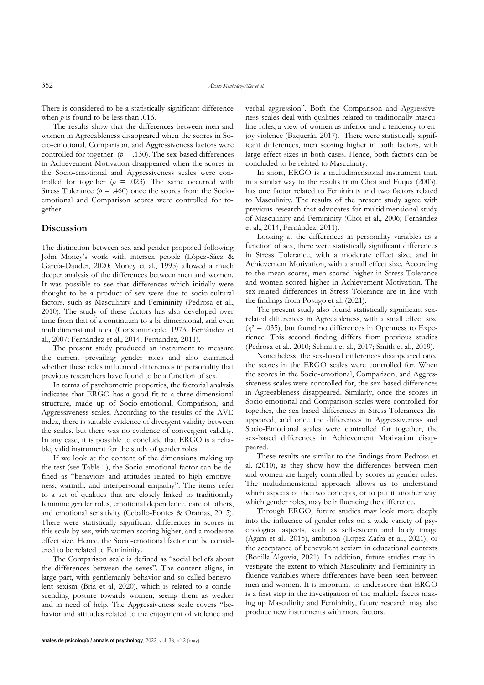There is considered to be a statistically significant difference when  $p$  is found to be less than .016.

The results show that the differences between men and women in Agreeableness disappeared when the scores in Socio-emotional, Comparison, and Aggressiveness factors were controlled for together  $(p = .130)$ . The sex-based differences in Achievement Motivation disappeared when the scores in the Socio-emotional and Aggressiveness scales were controlled for together  $(p = .023)$ . The same occurred with Stress Tolerance  $(p = .460)$  once the scores from the Socioemotional and Comparison scores were controlled for together.

## **Discussion**

The distinction between sex and gender proposed following John Money's work with intersex people (López-Sáez & García-Dauder, 2020; Money et al., 1995) allowed a much deeper analysis of the differences between men and women. It was possible to see that differences which initially were thought to be a product of sex were due to socio-cultural factors, such as Masculinity and Femininity (Pedrosa et al., 2010). The study of these factors has also developed over time from that of a continuum to a bi-dimensional, and even multidimensional idea (Constantinople, 1973; Fernández et al., 2007; Fernández et al., 2014; Fernández, 2011).

The present study produced an instrument to measure the current prevailing gender roles and also examined whether these roles influenced differences in personality that previous researchers have found to be a function of sex.

In terms of psychometric properties, the factorial analysis indicates that ERGO has a good fit to a three-dimensional structure, made up of Socio-emotional, Comparison, and Aggressiveness scales. According to the results of the AVE index, there is suitable evidence of divergent validity between the scales, but there was no evidence of convergent validity. In any case, it is possible to conclude that ERGO is a reliable, valid instrument for the study of gender roles.

If we look at the content of the dimensions making up the test (see Table 1), the Socio-emotional factor can be defined as "behaviors and attitudes related to high emotiveness, warmth, and interpersonal empathy". The items refer to a set of qualities that are closely linked to traditionally feminine gender roles, emotional dependence, care of others, and emotional sensitivity (Ceballo-Fontes & Oramas, 2015). There were statistically significant differences in scores in this scale by sex, with women scoring higher, and a moderate effect size. Hence, the Socio-emotional factor can be considered to be related to Femininity.

The Comparison scale is defined as "social beliefs about the differences between the sexes". The content aligns, in large part, with gentlemanly behavior and so called benevolent sexism (Bria et al, 2020), which is related to a condescending posture towards women, seeing them as weaker and in need of help. The Aggressiveness scale covers "behavior and attitudes related to the enjoyment of violence and verbal aggression". Both the Comparison and Aggressiveness scales deal with qualities related to traditionally masculine roles, a view of women as inferior and a tendency to enjoy violence (Baquerín, 2017). There were statistically significant differences, men scoring higher in both factors, with large effect sizes in both cases. Hence, both factors can be concluded to be related to Masculinity.

In short, ERGO is a multidimensional instrument that, in a similar way to the results from Choi and Fuqua (2003), has one factor related to Femininity and two factors related to Masculinity. The results of the present study agree with previous research that advocates for multidimensional study of Masculinity and Femininity (Choi et al., 2006; Fernández et al., 2014; Fernández, 2011).

Looking at the differences in personality variables as a function of sex, there were statistically significant differences in Stress Tolerance, with a moderate effect size, and in Achievement Motivation, with a small effect size. According to the mean scores, men scored higher in Stress Tolerance and women scored higher in Achievement Motivation. The sex-related differences in Stress Tolerance are in line with the findings from Postigo et al. (2021).

The present study also found statistically significant sexrelated differences in Agreeableness, with a small effect size  $(\eta^2 = .035)$ , but found no differences in Openness to Experience. This second finding differs from previous studies (Pedrosa et al., 2010; Schmitt et al., 2017; Smith et al., 2019).

Nonetheless, the sex-based differences disappeared once the scores in the ERGO scales were controlled for. When the scores in the Socio-emotional, Comparison, and Aggressiveness scales were controlled for, the sex-based differences in Agreeableness disappeared. Similarly, once the scores in Socio-emotional and Comparison scales were controlled for together, the sex-based differences in Stress Tolerances disappeared, and once the differences in Aggressiveness and Socio-Emotional scales were controlled for together, the sex-based differences in Achievement Motivation disappeared.

These results are similar to the findings from Pedrosa et al. (2010), as they show how the differences between men and women are largely controlled by scores in gender roles. The multidimensional approach allows us to understand which aspects of the two concepts, or to put it another way, which gender roles, may be influencing the difference.

Through ERGO, future studies may look more deeply into the influence of gender roles on a wide variety of psychological aspects, such as self-esteem and body image (Agam et al., 2015), ambition (Lopez-Zafra et al., 2021), or the acceptance of benevolent sexism in educational contexts (Bonilla-Algovia, 2021). In addition, future studies may investigate the extent to which Masculinity and Femininity influence variables where differences have been seen between men and women. It is important to underscore that ERGO is a first step in the investigation of the multiple facets making up Masculinity and Femininity, future research may also produce new instruments with more factors.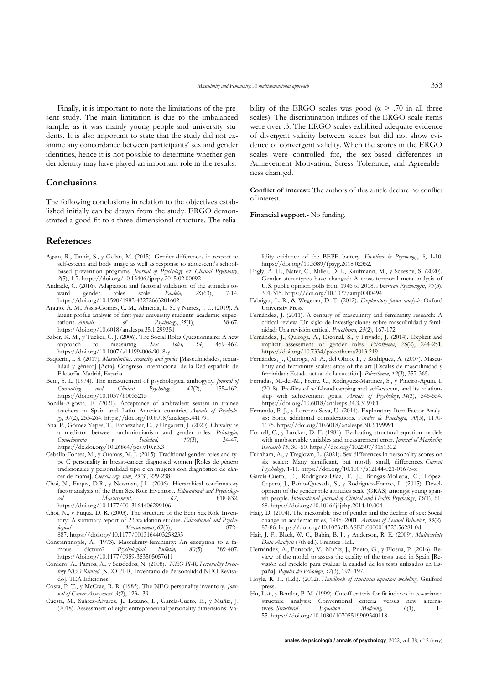Finally, it is important to note the limitations of the present study. The main limitation is due to the imbalanced sample, as it was mainly young people and university students. It is also important to state that the study did not examine any concordance between participants' sex and gender identities, hence it is not possible to determine whether gender identity may have played an important role in the results.

## **Conclusions**

The following conclusions in relation to the objectives established initially can be drawn from the study. ERGO demonstrated a good fit to a three-dimensional structure. The relia-

## **References**

- Agam, R., Tamir, S., y Golan, M. (2015). Gender differences in respect to self-esteem and body image as well as response to adolescent's schoolbased prevention programs. *Journal of Psychology & Clinical Psychiatry*, *2*(5), 1-7. https://doi.org/10.15406/jpcpy.2015.02.00092
- Andrade, C. (2016). Adaptation and factorial validation of the attitudes toward gender roles scale. *Paideía, 26*(63), 7-14. https://doi.org/10.1590/1982-43272663201602
- Araújo, A. M., Assis-Gomes, C. M., Almeida, L. S., y Núñez, J. C. (2019). A latent profile analysis of first-year university students' academic expectations. *Annals of Psychology*, *35*(1), 58-67. https://doi.org/10.6018/analesps.35.1.299351
- Baber, K. M., y Tucker, C. J. (2006). The Social Roles Questionnaire: A new approach to measuring. *Sex Roles, 54*, 459–467. https://doi.org/10.1007/s11199-006-9018-y
- Baquerín, I. S. (2017). *Masculinities, sexuality and gender* [Masculinidades, sexualidad y género] [Acta]. Congreso Internacional de la Red española de Filosofía. Madrid, España
- Bem, S. L. (1974). The measurement of psychological androgyny. *Journal of Consulting* and *Clinical Psychology*, 42(2), 155–162. Psychology, https://doi.org/10.1037/h0036215
- Bonilla-Algovia, E. (2021). Acceptance of ambivalent sexism in trainee teachers in Spain and Latin America countries. *Annals of Psychology*, *37*(2), 253-264. https://doi.org/10.6018/analesps.441791
- Bria, P., Gómez Yepes, T., Etchezahar, E., y Ungaretti, J. (2020). Chivalry as a mediator between authoritarianism and gender roles. *Psicología, Conocimiento y Sociedad, 10*(3), 34-47. https://dx.doi.org/10.26864/pcs.v10.n3.3
- Ceballo-Fontes, M., y Oramas, M. J. (2015). Traditional gender roles and type C personality in breast-cancer diagnosed women [Roles de género tradicionales y personalidad tipo c en mujeres con diagnóstico de cáncer de mama]. *Ciencia ergo sum*, *23*(3), 229-238.
- Choi, N., Fuqua, D.R., y Newman, J.L. (2006). Hierarchical confirmatory factor analysis of the Bem Sex Role Inventory. *Educational and Psychological Measurement, 67*, 818-832. https://doi.org/10.1177/0013164406299106
- Choi, N., y Fuqua, D. R. (2003). The structure of the Bem Sex Role Inventory: A summary report of 23 validation studies. *Educational and Psychological Measurement*, *63*(5), 872– 887. https://doi.org/10.1177/0013164403258235
- Constantinople, A. (1973). Masculinity-femininity: An exception to a fa-<br>mous dictum? Psychological Bulletin, 80(5), 389-407. mous dictum? *Psychological Bulletin, 80*(5), 389-407. https://doi.org/10.1177/0959-353505057611
- Cordero, A., Pamos, A., y Seisdedos, N. (2008). *NEO PI-R, Personality Inventory NEO Revised* [NEO PI-R, Inventario de Personalidad NEO Revisado]. TEA Ediciones.
- Costa, P. T., y McCrae, R. R. (1985). The NEO personality inventory. *Journal of Career Assessment, 3*(2), 123-139.
- Cuesta, M., Suárez-Álvarez, J., Lozano, L., García-Cueto, E., y Muñiz, J. (2018). Assessment of eight entrepreneurial personality dimensions: Va-

bility of the ERGO scales was good ( $\alpha$  > .70 in all three scales). The discrimination indices of the ERGO scale items were over .3. The ERGO scales exhibited adequate evidence of divergent validity between scales but did not show evidence of convergent validity. When the scores in the ERGO scales were controlled for, the sex-based differences in Achievement Motivation, Stress Tolerance, and Agreeableness changed.

**Conflict of interest:** The authors of this article declare no conflict of interest.

**Financial support.-** No funding.

lidity evidence of the BEPE battery. *Frontiers in Psychology*, *9*, 1-10. https://doi.org/10.3389/fpsyg.2018.02352.

- Eagly, A. H., Nater, C., Miller, D. I., Kaufmann, M., y Sczesny, S. (2020). Gender stereotypes have changed: A cross-temporal meta-analysis of U.S. public opinion polls from 1946 to 2018. *American Psychologist, 75*(3), 301-315. https://doi.org/10.1037/amp0000494
- Fabrigar, L. R., & Wegener, D. T. (2012). *Exploratory factor analysis.* Oxford University Press.
- Fernández, J. (2011). A century of masculinity and femininity research: A critical review [Un siglo de investigaciones sobre masculinidad y feminidad: Una revisión crítica]. *Psicothema*, *23*(2), 167-172.
- Fernández, J., Quiroga, A., Escorial, S., y Privado, J. (2014). Explicit and implicit assessment of gender roles. *Psicothema*, *26*(2), 244-251. https://doi.org/10.7334/psicothema2013.219
- Fernández, J., Quiroga, M. A., del Olmo, I., y Rodríguez, A. (2007). Masculinity and femininity scales: state of the art [Escalas de masculinidad y feminidad: Estado actual de la cuestión]. *Psicothema*, *19*(3), 357-365.
- Ferradás, M.-del-M., Freire, C., Rodríguez-Martínez, S., y Piñeiro-Aguín, I. (2018). Profiles of self-handicapping and self-esteem, and its relationship with achievement goals. *Annals of Psychology*, *34*(3), 545-554. https://doi.org/10.6018/analesps.34.3.319781
- Ferrando, P. J., y Lorenzo-Seva, U. (2014). Exploratory Item Factor Analysis: Some additional considerations. *Anales de Psicología, 30*(3), 1170- 1175. https://doi.org/10.6018/analesps.30.3.199991
- Fornell, C., y Larcker, D. F. (1981). Evaluating structural equation models with unobservable variables and measurement error. *Journal of Marketing Research 18*, 30–50. https://doi.org/10.2307/3151312
- Furnham, A., y Treglown, L. (2021). Sex differences in personality scores on six scales: Many significant, but mostly small, differences. *Current Psychology*, 1-11. https://doi.org/10.1007/s12144-021-01675-x
- García-Cueto, E., Rodríguez-Díaz, F. J., Bringas-Molleda, C., López-Cepero, J., Paíno-Quesada, S., y Rodríguez-Franco, L. (2015). Development of the gender role attitudes scale (GRAS) amongst young spanish people. *International Journal of Clinical and Health Psychology*, *15*(1), 61- 68. https://doi.org/10.1016/j.ijchp.2014.10.004
- Haig, D. (2004). The inexorable rise of gender and the decline of sex: Social change in academic titles, 1945–2001. *Archives of Sexual Behavior*, *33*(2), 87-86. https://doi.org/10.1023/B:ASEB.0000014323.56281.0d
- Hair, J. F., Black, W. C., Babin, B. J., y Anderson, R. E. (2009). *Multivariate Data Analysis* (7th ed.). Prentice Hall.
- Hernández, A., Ponsoda, V., Muñiz, J., Prieto, G., y Elosua, P. (2016). Review of the model to assess the quality of the tests used in Spain [Revisión del modelo para evaluar la calidad de los tests utilizados en España]. *Papeles del Psicologo*, *37*(3), 192–197.
- Hoyle, R. H. (Ed.). (2012). *Handbook of structural equation modeling*. Guilford press.
- Hu, L.-t., y Bentler, P. M. (1999). Cutoff criteria for fit indexes in covariance structure analysis: Conventional criteria versus new alterna-<br>tives Structural Equation Modelino 6(1). 1– tives. *Structural Equation Modeling, 6*(1), 1– 55. https://doi.org/10.1080/10705519909540118